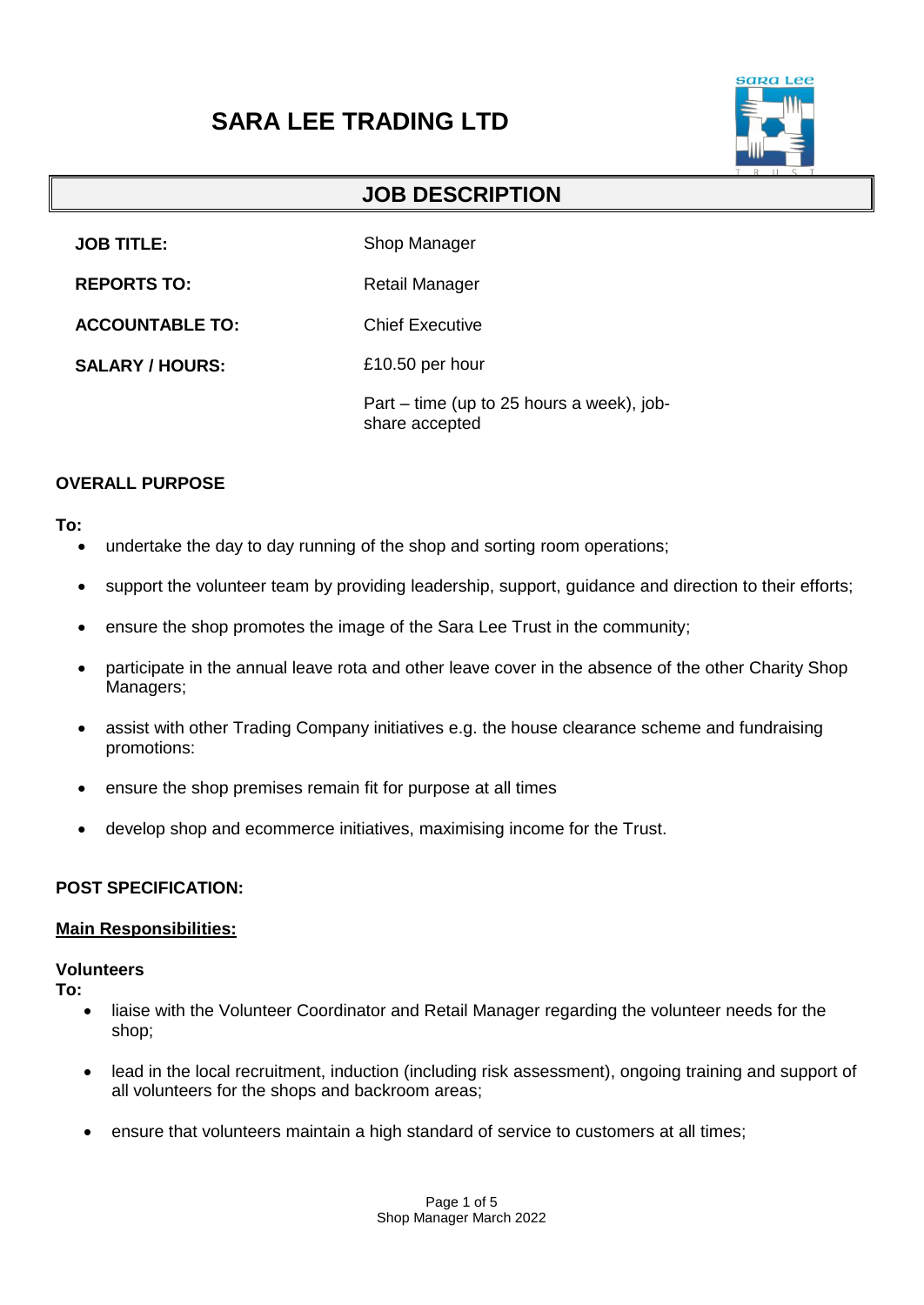# **SARA LEE TRADING LTD**



## **JOB DESCRIPTION**

**JOB TITLE:** Shop Manager

**REPORTS TO:** Retail Manager

**ACCOUNTABLE TO:** Chief Executive

**SALARY / HOURS:** £10.50 per hour

> Part – time (up to 25 hours a week), jobshare accepted

## **OVERALL PURPOSE**

#### **To:**

- undertake the day to day running of the shop and sorting room operations;
- support the volunteer team by providing leadership, support, guidance and direction to their efforts;
- ensure the shop promotes the image of the Sara Lee Trust in the community;
- participate in the annual leave rota and other leave cover in the absence of the other Charity Shop Managers;
- assist with other Trading Company initiatives e.g. the house clearance scheme and fundraising promotions:
- ensure the shop premises remain fit for purpose at all times
- develop shop and ecommerce initiatives, maximising income for the Trust.

## **POST SPECIFICATION:**

## **Main Responsibilities:**

#### **Volunteers**

**To:**

- liaise with the Volunteer Coordinator and Retail Manager regarding the volunteer needs for the shop;
- lead in the local recruitment, induction (including risk assessment), ongoing training and support of all volunteers for the shops and backroom areas;
- ensure that volunteers maintain a high standard of service to customers at all times;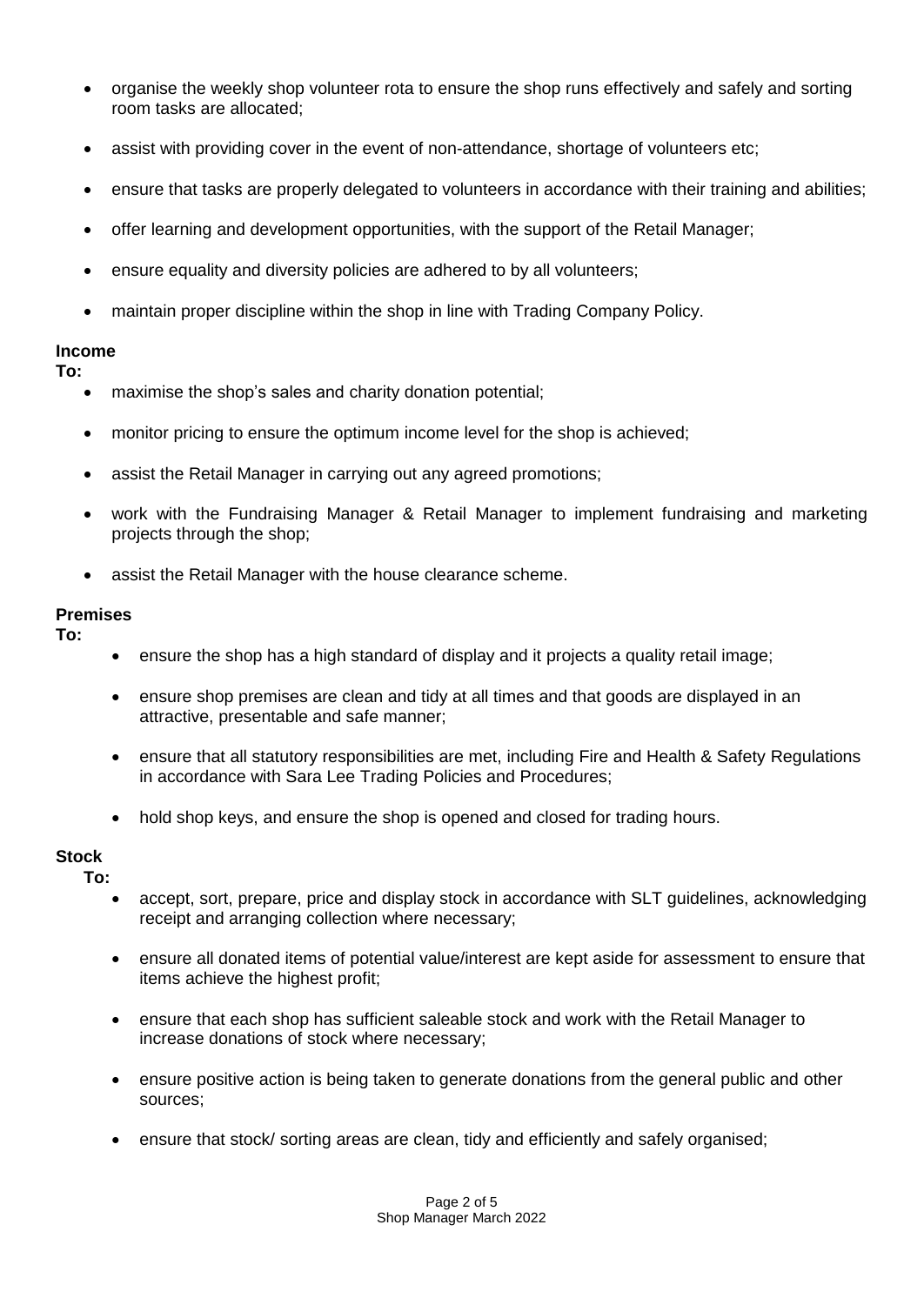- organise the weekly shop volunteer rota to ensure the shop runs effectively and safely and sorting room tasks are allocated;
- assist with providing cover in the event of non-attendance, shortage of volunteers etc;
- ensure that tasks are properly delegated to volunteers in accordance with their training and abilities;
- offer learning and development opportunities, with the support of the Retail Manager;
- ensure equality and diversity policies are adhered to by all volunteers;
- maintain proper discipline within the shop in line with Trading Company Policy.

#### **Income**

**To:**

- maximise the shop's sales and charity donation potential;
- monitor pricing to ensure the optimum income level for the shop is achieved;
- assist the Retail Manager in carrying out any agreed promotions;
- work with the Fundraising Manager & Retail Manager to implement fundraising and marketing projects through the shop;
- assist the Retail Manager with the house clearance scheme.

#### **Premises**

**To:**

- ensure the shop has a high standard of display and it projects a quality retail image;
- ensure shop premises are clean and tidy at all times and that goods are displayed in an attractive, presentable and safe manner;
- ensure that all statutory responsibilities are met, including Fire and Health & Safety Regulations in accordance with Sara Lee Trading Policies and Procedures;
- hold shop keys, and ensure the shop is opened and closed for trading hours.

#### **Stock**

**To:**

- accept, sort, prepare, price and display stock in accordance with SLT guidelines, acknowledging receipt and arranging collection where necessary;
- ensure all donated items of potential value/interest are kept aside for assessment to ensure that items achieve the highest profit;
- ensure that each shop has sufficient saleable stock and work with the Retail Manager to increase donations of stock where necessary;
- ensure positive action is being taken to generate donations from the general public and other sources;
- ensure that stock/ sorting areas are clean, tidy and efficiently and safely organised;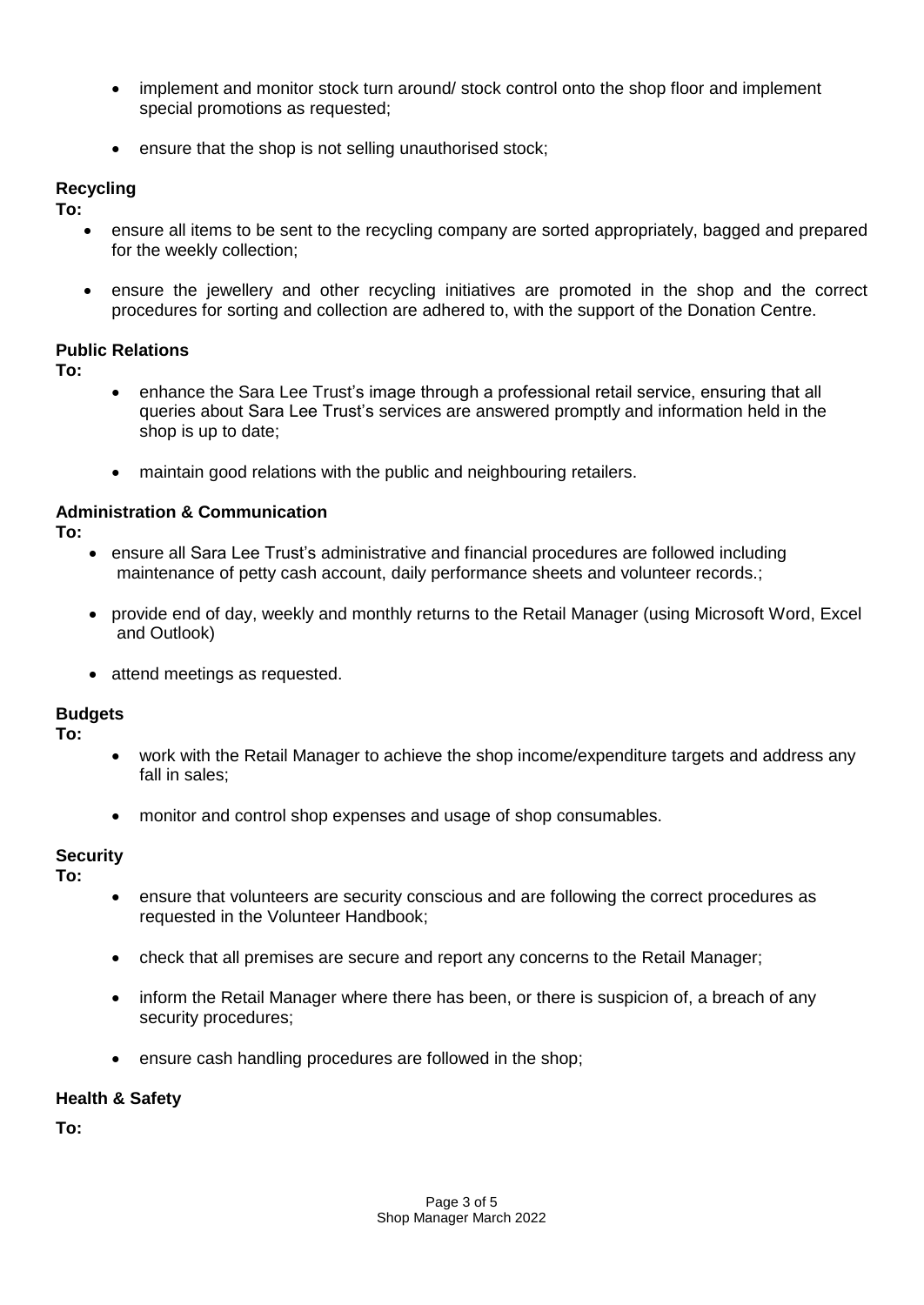- implement and monitor stock turn around/ stock control onto the shop floor and implement special promotions as requested;
- ensure that the shop is not selling unauthorised stock;

## **Recycling**

**To:**

- ensure all items to be sent to the recycling company are sorted appropriately, bagged and prepared for the weekly collection;
- ensure the jewellery and other recycling initiatives are promoted in the shop and the correct procedures for sorting and collection are adhered to, with the support of the Donation Centre.

## **Public Relations**

**To:**

- enhance the Sara Lee Trust's image through a professional retail service, ensuring that all queries about Sara Lee Trust's services are answered promptly and information held in the shop is up to date;
- maintain good relations with the public and neighbouring retailers.

## **Administration & Communication**

**To:**

- ensure all Sara Lee Trust's administrative and financial procedures are followed including maintenance of petty cash account, daily performance sheets and volunteer records.;
- provide end of day, weekly and monthly returns to the Retail Manager (using Microsoft Word, Excel and Outlook)
- attend meetings as requested.

**Budgets**

**To:**

- work with the Retail Manager to achieve the shop income/expenditure targets and address any fall in sales;
- monitor and control shop expenses and usage of shop consumables.

## **Security**

**To:**

- ensure that volunteers are security conscious and are following the correct procedures as requested in the Volunteer Handbook;
- check that all premises are secure and report any concerns to the Retail Manager;
- inform the Retail Manager where there has been, or there is suspicion of, a breach of any security procedures;
- ensure cash handling procedures are followed in the shop;

## **Health & Safety**

**To:**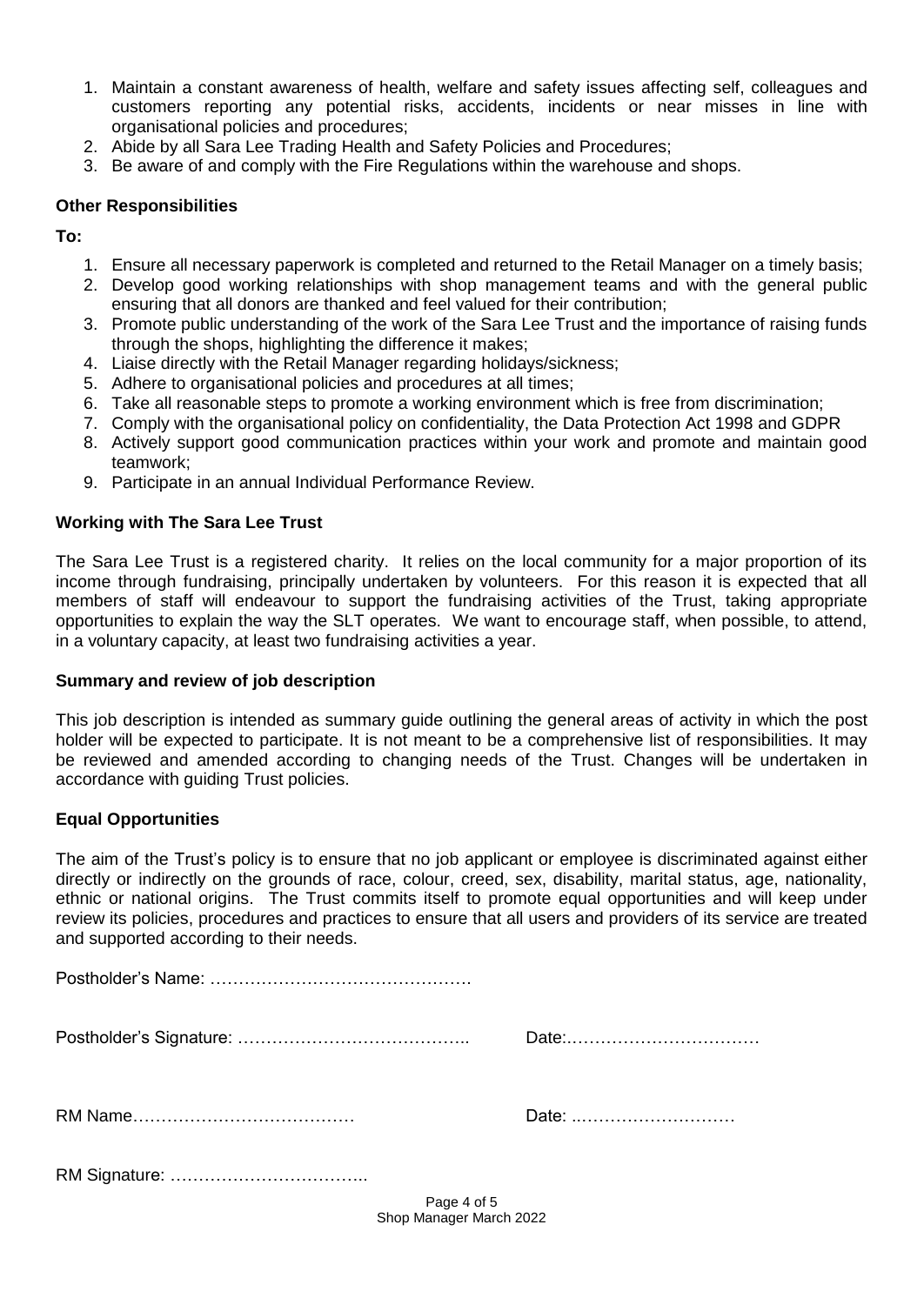- 1. Maintain a constant awareness of health, welfare and safety issues affecting self, colleagues and customers reporting any potential risks, accidents, incidents or near misses in line with organisational policies and procedures;
- 2. Abide by all Sara Lee Trading Health and Safety Policies and Procedures;
- 3. Be aware of and comply with the Fire Regulations within the warehouse and shops.

## **Other Responsibilities**

**To:**

- 1. Ensure all necessary paperwork is completed and returned to the Retail Manager on a timely basis;
- 2. Develop good working relationships with shop management teams and with the general public ensuring that all donors are thanked and feel valued for their contribution;
- 3. Promote public understanding of the work of the Sara Lee Trust and the importance of raising funds through the shops, highlighting the difference it makes;
- 4. Liaise directly with the Retail Manager regarding holidays/sickness;
- 5. Adhere to organisational policies and procedures at all times;
- 6. Take all reasonable steps to promote a working environment which is free from discrimination;
- 7. Comply with the organisational policy on confidentiality, the Data Protection Act 1998 and GDPR
- 8. Actively support good communication practices within your work and promote and maintain good teamwork;
- 9. Participate in an annual Individual Performance Review.

## **Working with The Sara Lee Trust**

The Sara Lee Trust is a registered charity. It relies on the local community for a major proportion of its income through fundraising, principally undertaken by volunteers. For this reason it is expected that all members of staff will endeavour to support the fundraising activities of the Trust, taking appropriate opportunities to explain the way the SLT operates. We want to encourage staff, when possible, to attend, in a voluntary capacity, at least two fundraising activities a year.

## **Summary and review of job description**

This job description is intended as summary guide outlining the general areas of activity in which the post holder will be expected to participate. It is not meant to be a comprehensive list of responsibilities. It may be reviewed and amended according to changing needs of the Trust. Changes will be undertaken in accordance with guiding Trust policies.

## **Equal Opportunities**

The aim of the Trust's policy is to ensure that no job applicant or employee is discriminated against either directly or indirectly on the grounds of race, colour, creed, sex, disability, marital status, age, nationality, ethnic or national origins. The Trust commits itself to promote equal opportunities and will keep under review its policies, procedures and practices to ensure that all users and providers of its service are treated and supported according to their needs.

| Date:       |
|-------------|
| Date:       |
|             |
| Page 4 of 5 |